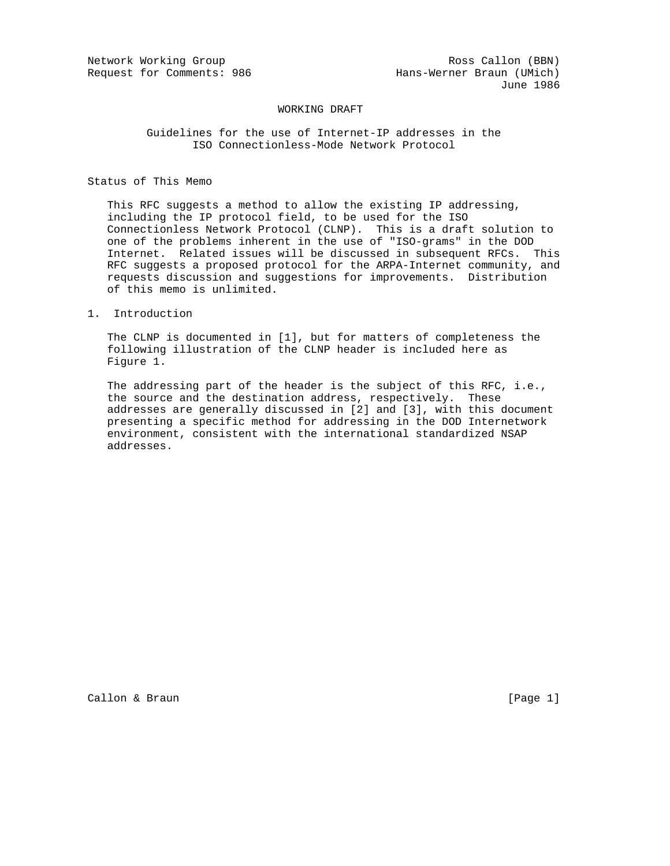## WORKING DRAFT

## Guidelines for the use of Internet-IP addresses in the ISO Connectionless-Mode Network Protocol

# Status of This Memo

 This RFC suggests a method to allow the existing IP addressing, including the IP protocol field, to be used for the ISO Connectionless Network Protocol (CLNP). This is a draft solution to one of the problems inherent in the use of "ISO-grams" in the DOD Internet. Related issues will be discussed in subsequent RFCs. This RFC suggests a proposed protocol for the ARPA-Internet community, and requests discussion and suggestions for improvements. Distribution of this memo is unlimited.

1. Introduction

 The CLNP is documented in [1], but for matters of completeness the following illustration of the CLNP header is included here as Figure 1.

 The addressing part of the header is the subject of this RFC, i.e., the source and the destination address, respectively. These addresses are generally discussed in [2] and [3], with this document presenting a specific method for addressing in the DOD Internetwork environment, consistent with the international standardized NSAP addresses.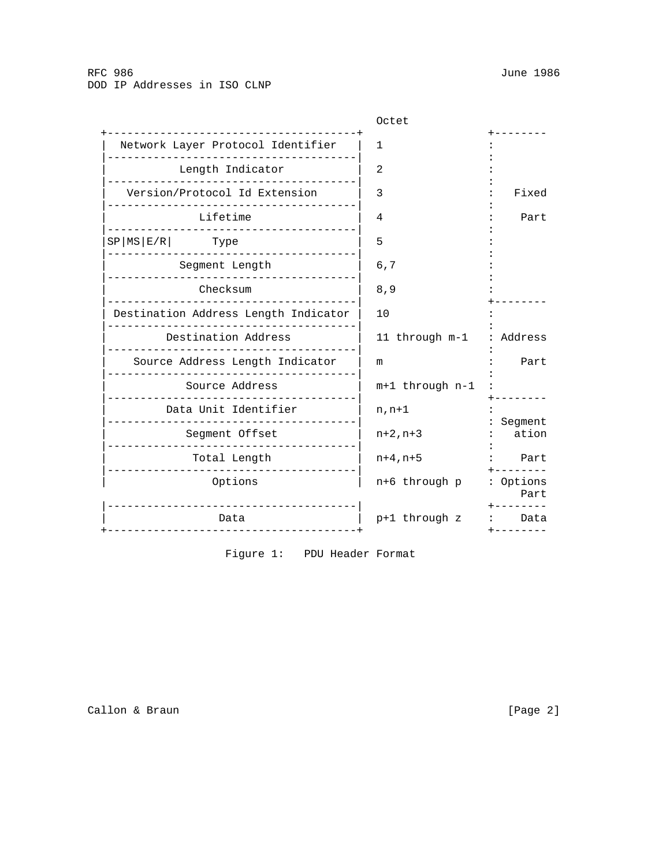| Octet           |                   |
|-----------------|-------------------|
| 1               |                   |
| 2               |                   |
|                 | Fixed             |
|                 | Part              |
|                 |                   |
|                 |                   |
| 6,7             |                   |
| 8,9             |                   |
| 10              |                   |
| 11 through m-1  | Address           |
| m               | Part              |
| m+1 through n-1 |                   |
| $n, n+1$        |                   |
| $n+2, n+3$      | Segment<br>ation  |
| $n+4, n+5$      | Part              |
| n+6 through p   | : Options<br>Part |
| p+1 through z   | Data              |
|                 | 3<br>4<br>5       |

Figure 1: PDU Header Format

Callon & Braun [Page 2]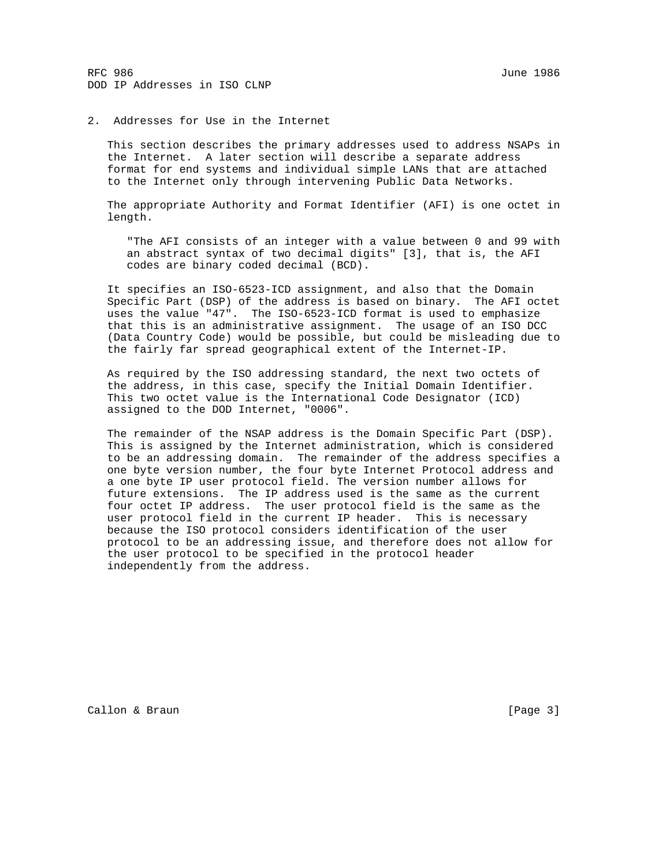RFC 986 June 1986 DOD IP Addresses in ISO CLNP

### 2. Addresses for Use in the Internet

 This section describes the primary addresses used to address NSAPs in the Internet. A later section will describe a separate address format for end systems and individual simple LANs that are attached to the Internet only through intervening Public Data Networks.

 The appropriate Authority and Format Identifier (AFI) is one octet in length.

 "The AFI consists of an integer with a value between 0 and 99 with an abstract syntax of two decimal digits" [3], that is, the AFI codes are binary coded decimal (BCD).

 It specifies an ISO-6523-ICD assignment, and also that the Domain Specific Part (DSP) of the address is based on binary. The AFI octet uses the value "47". The ISO-6523-ICD format is used to emphasize that this is an administrative assignment. The usage of an ISO DCC (Data Country Code) would be possible, but could be misleading due to the fairly far spread geographical extent of the Internet-IP.

 As required by the ISO addressing standard, the next two octets of the address, in this case, specify the Initial Domain Identifier. This two octet value is the International Code Designator (ICD) assigned to the DOD Internet, "0006".

 The remainder of the NSAP address is the Domain Specific Part (DSP). This is assigned by the Internet administration, which is considered to be an addressing domain. The remainder of the address specifies a one byte version number, the four byte Internet Protocol address and a one byte IP user protocol field. The version number allows for future extensions. The IP address used is the same as the current four octet IP address. The user protocol field is the same as the user protocol field in the current IP header. This is necessary because the ISO protocol considers identification of the user protocol to be an addressing issue, and therefore does not allow for the user protocol to be specified in the protocol header independently from the address.

Callon & Braun [Page 3]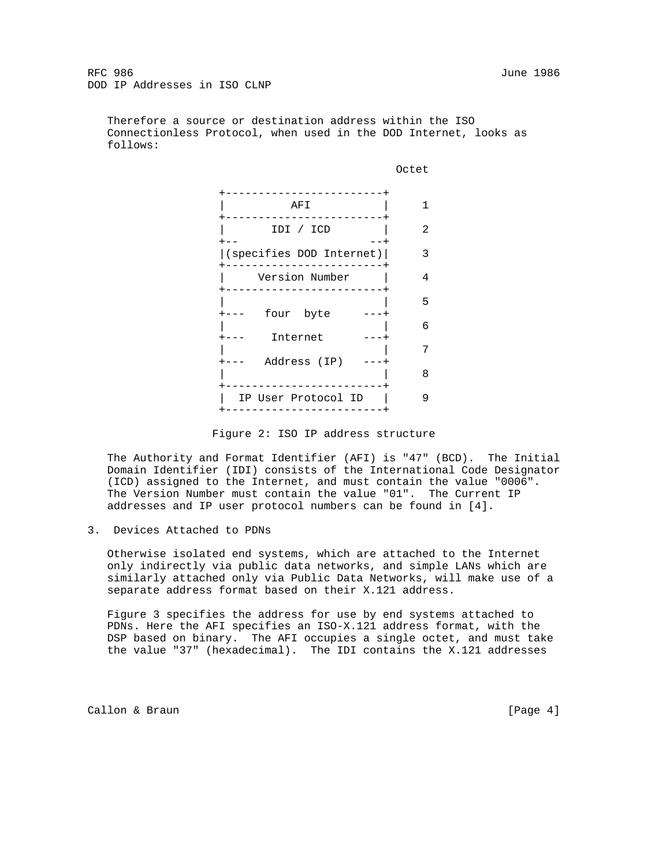Therefore a source or destination address within the ISO Connectionless Protocol, when used in the DOD Internet, looks as follows:



Figure 2: ISO IP address structure

 The Authority and Format Identifier (AFI) is "47" (BCD). The Initial Domain Identifier (IDI) consists of the International Code Designator (ICD) assigned to the Internet, and must contain the value "0006". The Version Number must contain the value "01". The Current IP addresses and IP user protocol numbers can be found in [4].

3. Devices Attached to PDNs

 Otherwise isolated end systems, which are attached to the Internet only indirectly via public data networks, and simple LANs which are similarly attached only via Public Data Networks, will make use of a separate address format based on their X.121 address.

 Figure 3 specifies the address for use by end systems attached to PDNs. Here the AFI specifies an ISO-X.121 address format, with the DSP based on binary. The AFI occupies a single octet, and must take the value "37" (hexadecimal). The IDI contains the X.121 addresses

Callon & Braun [Page 4]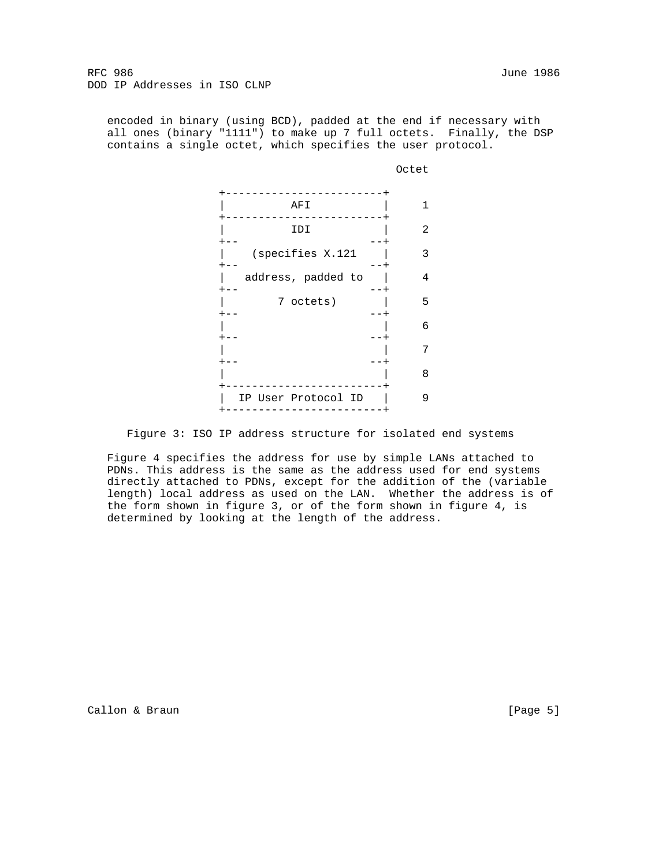RFC 986 June 1986 DOD IP Addresses in ISO CLNP

 encoded in binary (using BCD), padded at the end if necessary with all ones (binary "1111") to make up 7 full octets. Finally, the DSP contains a single octet, which specifies the user protocol.

**CONTRACT CONTRACT CONTRACT CONTRACT CONTRACT CONTRACT CONTRACT CONTRACT CONTRACT CONTRACT CONTRACT CONTRACT CO** 

| AFI                 |   |
|---------------------|---|
| IDI                 | 2 |
| (specifies X.121    | 3 |
| address, padded to  | 4 |
| 7 octets)           | 5 |
|                     | 6 |
|                     | 7 |
|                     | 8 |
| IP User Protocol ID | 9 |
|                     |   |

Figure 3: ISO IP address structure for isolated end systems

 Figure 4 specifies the address for use by simple LANs attached to PDNs. This address is the same as the address used for end systems directly attached to PDNs, except for the addition of the (variable length) local address as used on the LAN. Whether the address is of the form shown in figure 3, or of the form shown in figure 4, is determined by looking at the length of the address.

Callon & Braun [Page 5]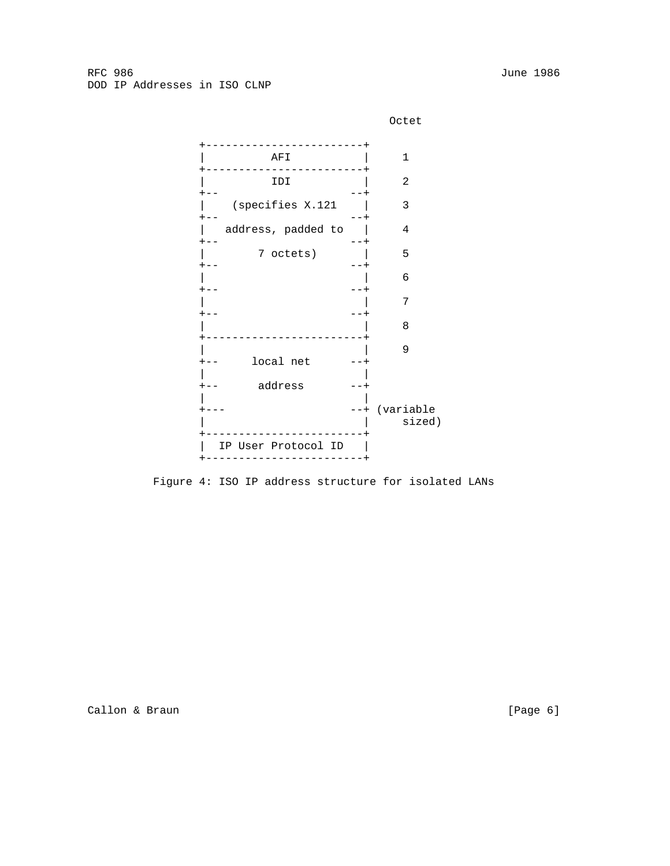**CONTRACT CONTRACT CONTRACT CONTRACT CONTRACT CONTRACT CONTRACT CONTRACT CONTRACT CONTRACT CONTRACT CONTRACT CO** 



 +------------------------+ | AFI | 1 +------------------------+  $|$  IDI  $|$  2<br>+--  $+- -++$  | (specifies X.121 | 3  $+- -+$  | address, padded to | 4  $+- -++$  | 7 octets) | 5  $+- -++$  $\begin{array}{|c|c|c|c|c|c|c|c|c|} \hline \hspace{1.5cm} & \hspace{1.5cm} & \hspace{1.5cm} & \hspace{1.5cm} & \hspace{1.5cm} & \hspace{1.5cm} & \hspace{1.5cm} & \hspace{1.5cm} & \hspace{1.5cm} & \hspace{1.5cm} & \hspace{1.5cm} & \hspace{1.5cm} & \hspace{1.5cm} & \hspace{1.5cm} & \hspace{1.5cm} & \hspace{1.5cm} & \hspace{1.5cm} & \hspace{1.5cm} & \hspace{1.5cm} & \hs$  $+- -+$  | | 7  $+- -++$  | | 8 +------------------------+ | | 9<br>| 9<br>| 9 +-- local net --+ | | +-- address --+ | | +--- --+ (variable | sized) +------------------------+ | IP User Protocol ID | +------------------------+

Figure 4: ISO IP address structure for isolated LANs

Callon & Braun (Page 6)